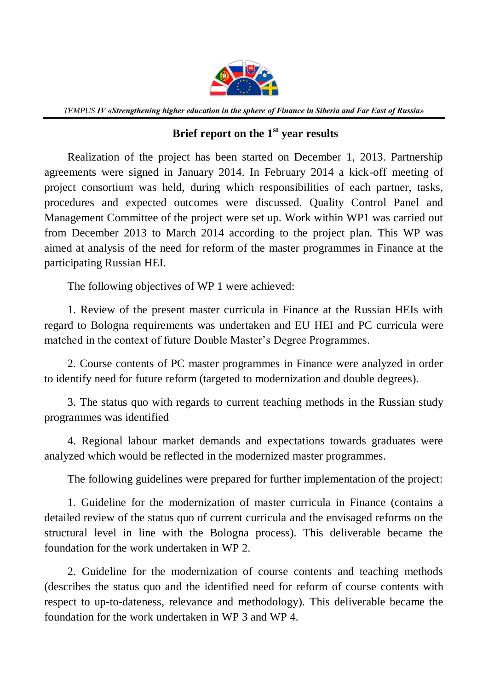

*TEMPUS IV «Strengthening higher education in the sphere of Finance in Siberia and Far East of Russia»*

## **Brief report on the 1st year results**

Realization of the project has been started on December 1, 2013. Partnership agreements were signed in January 2014. In February 2014 a kick-off meeting of project consortium was held, during which responsibilities of each partner, tasks, procedures and expected outcomes were discussed. Quality Control Panel and Management Committee of the project were set up. Work within WP1 was carried out from December 2013 to March 2014 according to the project plan. This WP was aimed at analysis of the need for reform of the master programmes in Finance at the participating Russian HEI.

The following objectives of WP 1 were achieved:

1. Review of the present master curricula in Finance at the Russian HEIs with regard to Bologna requirements was undertaken and EU HEI and PC curricula were matched in the context of future Double Master's Degree Programmes.

2. Course contents of PC master programmes in Finance were analyzed in order to identify need for future reform (targeted to modernization and double degrees).

3. The status quo with regards to current teaching methods in the Russian study programmes was identified

4. Regional labour market demands and expectations towards graduates were analyzed which would be reflected in the modernized master programmes.

The following guidelines were prepared for further implementation of the project:

1. Guideline for the modernization of master curricula in Finance (contains a detailed review of the status quo of current curricula and the envisaged reforms on the structural level in line with the Bologna process). This deliverable became the foundation for the work undertaken in WP 2.

2. Guideline for the modernization of course contents and teaching methods (describes the status quo and the identified need for reform of course contents with respect to up-to-dateness, relevance and methodology). This deliverable became the foundation for the work undertaken in WP 3 and WP 4.